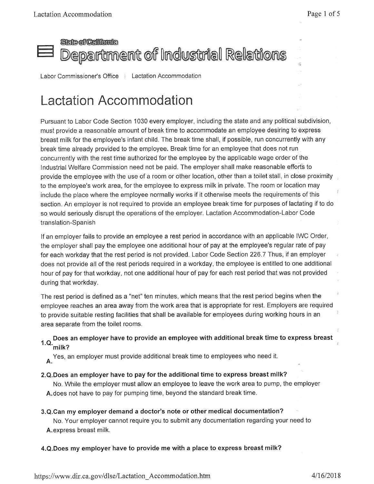## **Seie of California** Department of Industrial Relations

Labor Commissioner's Office | Lactation Accommodation

# Lactation Accommodation

Pursuant to Labor Code Section 1030 every employer, including the state and any political subdivision, must provide <sup>a</sup> reasonable amount of break time to accommodate an employee desiring to express breast milk for the employee'<sup>s</sup> infant child. The break time shall, if possible, run concurrently with any break time already provided to the employee. Break time for an employee that does not run concurrently with the rest time authorized for the employee by the applicable wage order of the Industrial Welfare Commission need not be paid. The employer shall make reasonable efforts to provide the employee with the use of <sup>a</sup> room or other location, other than <sup>a</sup> toilet stall, in close proximity to the employee'<sup>s</sup> work area, for the employee to express milk in private. The room or location may include the place where the employee normally works if it otherwise meets the requirements of this section. An employer is not required to provide an employee break time for purposes of lactating if to do so would seriously disrupt the operations of the employer. Lactation Accommodation-Labor Code translation-Spanish

If an employer fails to provide an employee <sup>a</sup> rest period in accordance with an applicable IWC Order, the employer shall pay the employee one additional hour of pay at the employee'<sup>s</sup> regular rate of pay for each workday that the rest period is not provided. Labor Code Section 226.7 Thus, if an employer does not provide all of the rest periods required in <sup>a</sup> workday, the employee is entitled to one additional hour of pay for that workday, not one additional hour of pay for each rest period that was not provided during that workday.

The rest period is defined as <sup>a</sup> "net" ten minutes, which means that the rest period begins when the employee reaches an area away from the work area that is appropriate for rest. Employers are required to provide suitable resting facilities that shall be available for employees during working hours in an area separate from the toilet rooms.

#### **1.Q. Does an employer have to provide an employee with additional break time to express breast milk?**

**A.**Yes, an employer must provide additional break time to employees who need it.

**<sup>2</sup>.Q.Does an employer have to pay for the additional time to express breast milk?**

No. While the employer must allow an employee to leave the work area to pump, the employer **A.**does not have to pay for pumping time, beyond the standard break time.

**<sup>3</sup>.Q.Can my employer demand <sup>a</sup> doctor'<sup>s</sup> note or other medical documentation?**

No. Your employer cannot require you to submit any documentation regarding your need to **A.**express breast milk.

#### **<sup>4</sup>.Q.Does my employer have to provide me with <sup>a</sup> place to express breast milk?**

ž